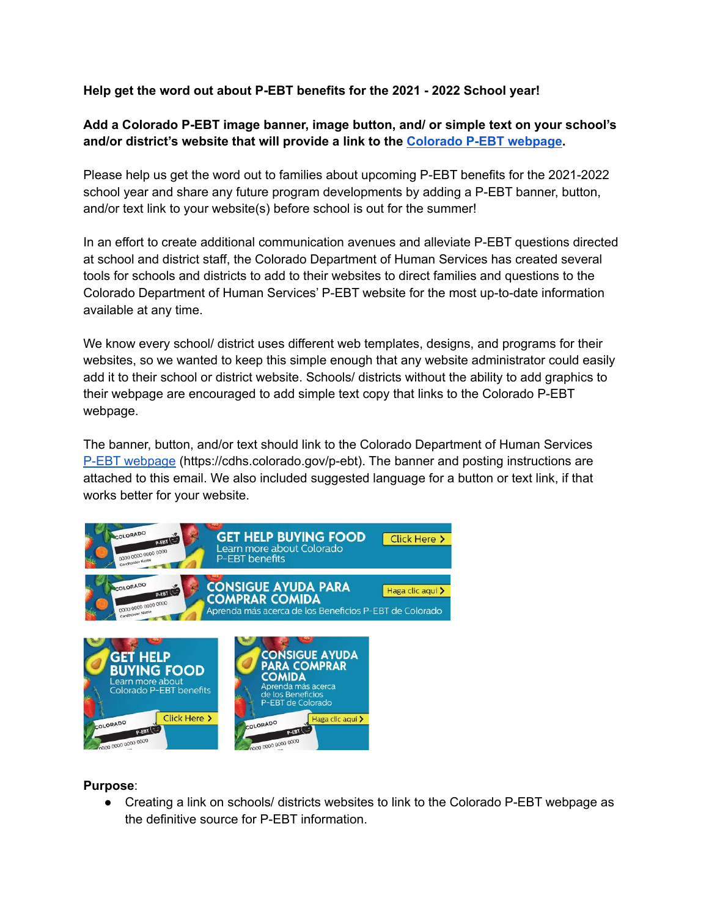## **Help get the word out about P-EBT benefits for the 2021 - 2022 School year!**

# **Add a Colorado P-EBT image banner, image button, and/ or simple text on your school's and/or district's website that will provide a link to the [Colorado](https://cdhs.colorado.gov/p-ebt) P-EBT webpage.**

Please help us get the word out to families about upcoming P-EBT benefits for the 2021-2022 school year and share any future program developments by adding a P-EBT banner, button, and/or text link to your website(s) before school is out for the summer!

In an effort to create additional communication avenues and alleviate P-EBT questions directed at school and district staff, the Colorado Department of Human Services has created several tools for schools and districts to add to their websites to direct families and questions to the Colorado Department of Human Services' P-EBT website for the most up-to-date information available at any time.

We know every school/ district uses different web templates, designs, and programs for their websites, so we wanted to keep this simple enough that any website administrator could easily add it to their school or district website. Schools/ districts without the ability to add graphics to their webpage are encouraged to add simple text copy that links to the Colorado P-EBT webpage.

The banner, button, and/or text should link to the Colorado Department of Human Services P-EBT [webpage](https://cdhs.colorado.gov/p-ebt) (https://cdhs.colorado.gov/p-ebt). The banner and posting instructions are attached to this email. We also included suggested language for a button or text link, if that works better for your website.



### **Purpose**:

● Creating a link on schools/ districts websites to link to the Colorado P-EBT webpage as the definitive source for P-EBT information.